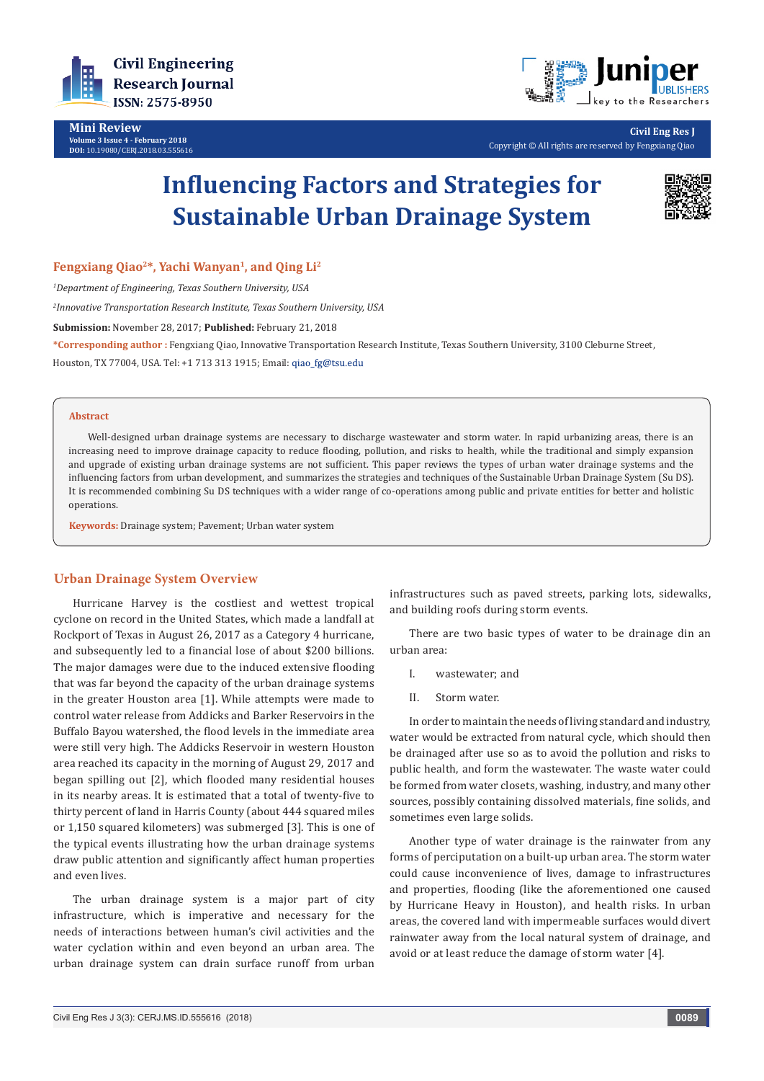

**Mini Review Volume 3 Issue 4 - February 2018 DOI:** [10.19080/CERJ.2018.03.555616](http://dx.doi.org/10.19080/CERJ.2018.03.555616)



**Civil Eng Res J** Copyright © All rights are reserved by Fengxiang Qiao

# **Influencing Factors and Strategies for Sustainable Urban Drainage System**



**Fengxiang Qiao2\*, Yachi Wanyan<sup>1</sup>, and Qing Li<sup>2</sup>**

*1 Department of Engineering, Texas Southern University, USA*

*2 Innovative Transportation Research Institute, Texas Southern University, USA*

**Submission:** November 28, 2017; **Published:** February 21, 2018

**\*Corresponding author :** Fengxiang Qiao, Innovative Transportation Research Institute, Texas Southern University, 3100 Cleburne Street, Houston, TX 77004, USA. Tel: +1 713 313 1915; Email:

#### **Abstract**

Well-designed urban drainage systems are necessary to discharge wastewater and storm water. In rapid urbanizing areas, there is an increasing need to improve drainage capacity to reduce flooding, pollution, and risks to health, while the traditional and simply expansion and upgrade of existing urban drainage systems are not sufficient. This paper reviews the types of urban water drainage systems and the influencing factors from urban development, and summarizes the strategies and techniques of the Sustainable Urban Drainage System (Su DS). It is recommended combining Su DS techniques with a wider range of co-operations among public and private entities for better and holistic operations.

**Keywords:** Drainage system; Pavement; Urban water system

### **Urban Drainage System Overview**

Hurricane Harvey is the costliest and wettest tropical cyclone on record in the United States, which made a landfall at Rockport of Texas in August 26, 2017 as a Category 4 hurricane, and subsequently led to a financial lose of about \$200 billions. The major damages were due to the induced extensive flooding that was far beyond the capacity of the urban drainage systems in the greater Houston area [1]. While attempts were made to control water release from Addicks and Barker Reservoirs in the Buffalo Bayou watershed, the flood levels in the immediate area were still very high. The Addicks Reservoir in western Houston area reached its capacity in the morning of August 29, 2017 and began spilling out [2], which flooded many residential houses in its nearby areas. It is estimated that a total of twenty-five to thirty percent of land in Harris County (about 444 squared miles or 1,150 squared kilometers) was submerged [3]. This is one of the typical events illustrating how the urban drainage systems draw public attention and significantly affect human properties and even lives.

The urban drainage system is a major part of city infrastructure, which is imperative and necessary for the needs of interactions between human's civil activities and the water cyclation within and even beyond an urban area. The urban drainage system can drain surface runoff from urban infrastructures such as paved streets, parking lots, sidewalks, and building roofs during storm events.

There are two basic types of water to be drainage din an urban area:

- I. wastewater; and
- II. Storm water.

In order to maintain the needs of living standard and industry, water would be extracted from natural cycle, which should then be drainaged after use so as to avoid the pollution and risks to public health, and form the wastewater. The waste water could be formed from water closets, washing, industry, and many other sources, possibly containing dissolved materials, fine solids, and sometimes even large solids.

Another type of water drainage is the rainwater from any forms of perciputation on a built-up urban area. The storm water could cause inconvenience of lives, damage to infrastructures and properties, flooding (like the aforementioned one caused by Hurricane Heavy in Houston), and health risks. In urban areas, the covered land with impermeable surfaces would divert rainwater away from the local natural system of drainage, and avoid or at least reduce the damage of storm water [4].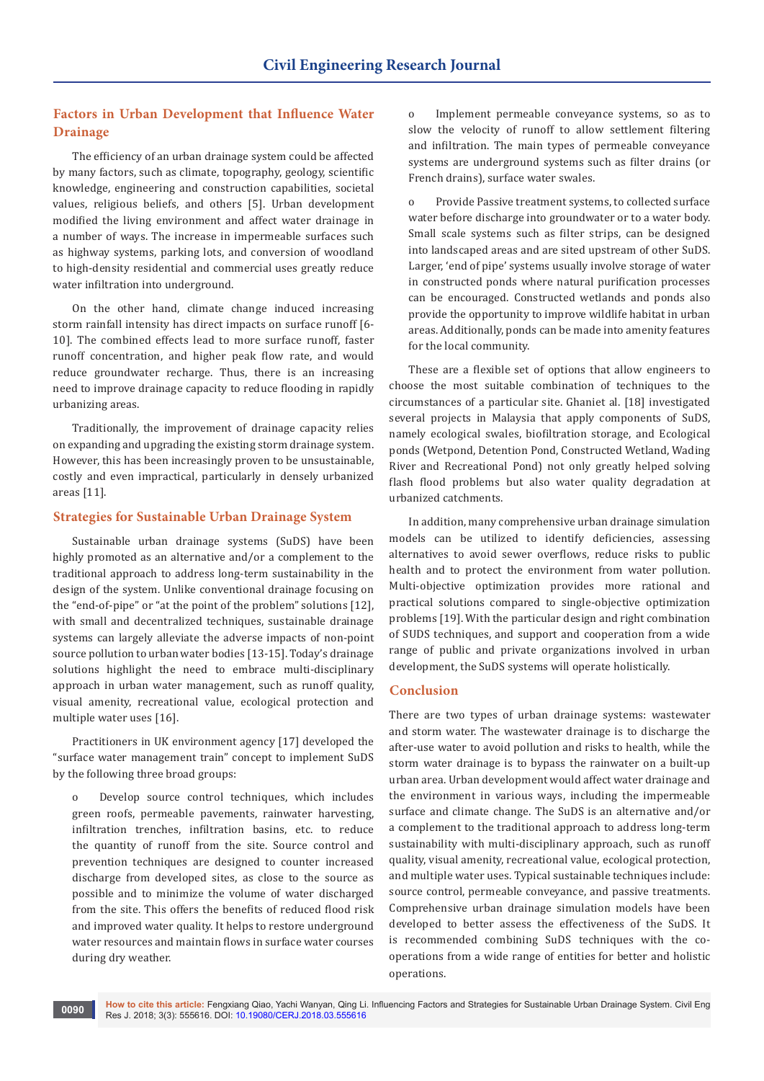# **Factors in Urban Development that Influence Water Drainage**

The efficiency of an urban drainage system could be affected by many factors, such as climate, topography, geology, scientific knowledge, engineering and construction capabilities, societal values, religious beliefs, and others [5]. Urban development modified the living environment and affect water drainage in a number of ways. The increase in impermeable surfaces such as highway systems, parking lots, and conversion of woodland to high-density residential and commercial uses greatly reduce water infiltration into underground.

On the other hand, climate change induced increasing storm rainfall intensity has direct impacts on surface runoff [6- 10]. The combined effects lead to more surface runoff, faster runoff concentration, and higher peak flow rate, and would reduce groundwater recharge. Thus, there is an increasing need to improve drainage capacity to reduce flooding in rapidly urbanizing areas.

Traditionally, the improvement of drainage capacity relies on expanding and upgrading the existing storm drainage system. However, this has been increasingly proven to be unsustainable, costly and even impractical, particularly in densely urbanized areas [11].

## **Strategies for Sustainable Urban Drainage System**

Sustainable urban drainage systems (SuDS) have been highly promoted as an alternative and/or a complement to the traditional approach to address long-term sustainability in the design of the system. Unlike conventional drainage focusing on the "end-of-pipe" or "at the point of the problem" solutions [12], with small and decentralized techniques, sustainable drainage systems can largely alleviate the adverse impacts of non-point source pollution to urban water bodies [13-15]. Today's drainage solutions highlight the need to embrace multi-disciplinary approach in urban water management, such as runoff quality, visual amenity, recreational value, ecological protection and multiple water uses [16].

Practitioners in UK environment agency [17] developed the "surface water management train" concept to implement SuDS by the following three broad groups:

Develop source control techniques, which includes green roofs, permeable pavements, rainwater harvesting, infiltration trenches, infiltration basins, etc. to reduce the quantity of runoff from the site. Source control and prevention techniques are designed to counter increased discharge from developed sites, as close to the source as possible and to minimize the volume of water discharged from the site. This offers the benefits of reduced flood risk and improved water quality. It helps to restore underground water resources and maintain flows in surface water courses during dry weather.

o Implement permeable conveyance systems, so as to slow the velocity of runoff to allow settlement filtering and infiltration. The main types of permeable conveyance systems are underground systems such as filter drains (or French drains), surface water swales.

o Provide Passive treatment systems, to collected surface water before discharge into groundwater or to a water body. Small scale systems such as filter strips, can be designed into landscaped areas and are sited upstream of other SuDS. Larger, 'end of pipe' systems usually involve storage of water in constructed ponds where natural purification processes can be encouraged. Constructed wetlands and ponds also provide the opportunity to improve wildlife habitat in urban areas. Additionally, ponds can be made into amenity features for the local community.

These are a flexible set of options that allow engineers to choose the most suitable combination of techniques to the circumstances of a particular site. Ghaniet al. [18] investigated several projects in Malaysia that apply components of SuDS. namely ecological swales, biofiltration storage, and Ecological ponds (Wetpond, Detention Pond, Constructed Wetland, Wading River and Recreational Pond) not only greatly helped solving flash flood problems but also water quality degradation at urbanized catchments.

In addition, many comprehensive urban drainage simulation models can be utilized to identify deficiencies, assessing alternatives to avoid sewer overflows, reduce risks to public health and to protect the environment from water pollution. Multi-objective optimization provides more rational and practical solutions compared to single-objective optimization problems [19]. With the particular design and right combination of SUDS techniques, and support and cooperation from a wide range of public and private organizations involved in urban development, the SuDS systems will operate holistically.

# **Conclusion**

There are two types of urban drainage systems: wastewater and storm water. The wastewater drainage is to discharge the after-use water to avoid pollution and risks to health, while the storm water drainage is to bypass the rainwater on a built-up urban area. Urban development would affect water drainage and the environment in various ways, including the impermeable surface and climate change. The SuDS is an alternative and/or a complement to the traditional approach to address long-term sustainability with multi-disciplinary approach, such as runoff quality, visual amenity, recreational value, ecological protection, and multiple water uses. Typical sustainable techniques include: source control, permeable conveyance, and passive treatments. Comprehensive urban drainage simulation models have been developed to better assess the effectiveness of the SuDS. It is recommended combining SuDS techniques with the cooperations from a wide range of entities for better and holistic operations.